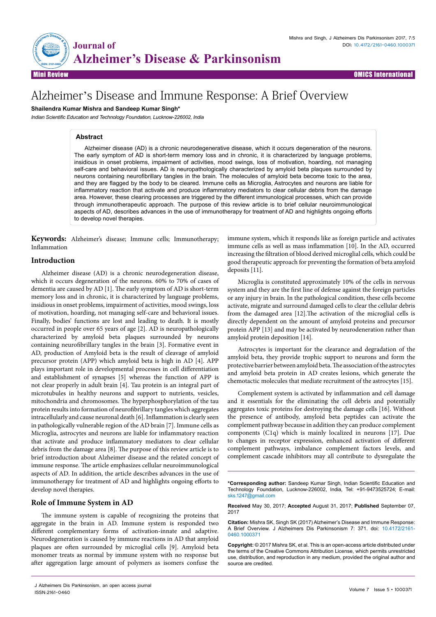

# Alzheimer's Disease and Immune Response: A Brief Overview

**Shailendra Kumar Mishra and Sandeep Kumar Singh\***

*Indian Scientific Education and Technology Foundation, Lucknow-226002, India*

# **Abstract**

Alzheimer disease (AD) is a chronic neurodegenerative disease, which it occurs degeneration of the neurons. The early symptom of AD is short-term memory loss and in chronic, it is characterized by language problems, insidious in onset problems, impairment of activities, mood swings, loss of motivation, hoarding, not managing self-care and behavioral issues. AD is neuropathologically characterized by amyloid beta plaques surrounded by neurons containing neurofibrillary tangles in the brain. The molecules of amyloid beta become toxic to the area, and they are flagged by the body to be cleared. Immune cells as Microglia, Astrocytes and neurons are liable for inflammatory reaction that activate and produce inflammatory mediators to clear cellular debris from the damage area. However, these clearing processes are triggered by the different immunological processes, which can provide through immunotherapeutic approach. The purpose of this review article is to brief cellular neuroimmunological aspects of AD, describes advances in the use of immunotherapy for treatment of AD and highlights ongoing efforts to develop novel therapies.

**Keywords:** Alzheimer's disease; Immune cells; Immunotherapy; Inflammation

# **Introduction**

Alzheimer disease (AD) is a chronic neurodegeneration disease, which it occurs degeneration of the neurons. 60% to 70% of cases of dementia are caused by AD [1]. The early symptom of AD is short-term memory loss and in chronic, it is characterized by language problems, insidious in onset problems, impairment of activities, mood swings, loss of motivation, hoarding, not managing self-care and behavioral issues. Finally, bodies' functions are lost and leading to death. It is mostly occurred in people over 65 years of age [2]. AD is neuropathologically characterized by amyloid beta plaques surrounded by neurons containing neurofibrillary tangles in the brain [3]. Formative event in AD, production of Amyloid beta is the result of cleavage of amyloid precursor protein (APP) which amyloid beta is high in AD [4]. APP plays important role in developmental processes in cell differentiation and establishment of synapses [5] whereas the function of APP is not clear properly in adult brain [4]. Tau protein is an integral part of microtubules in healthy neurons and support to nutrients, vesicles, mitochondria and chromosomes. The hyperphosphorylation of the tau protein results into formation of neurofibrillary tangles which aggregates intracellularly and cause neuronal death [6]. Inflammation is clearly seen in pathologically vulnerable region of the AD brain [7]. Immune cells as Microglia, astrocytes and neurons are liable for inflammatory reaction that activate and produce inflammatory mediators to clear cellular debris from the damage area [8]. The purpose of this review article is to brief introduction about Alzheimer disease and the related concept of immune response. The article emphasizes cellular neuroimmunological aspects of AD. In addition, the article describes advances in the use of immunotherapy for treatment of AD and highlights ongoing efforts to develop novel therapies.

#### **Role of Immune System in AD**

The immune system is capable of recognizing the proteins that aggregate in the brain in AD. Immune system is responded two different complementary forms of activation-innate and adaptive. Neurodegeneration is caused by immune reactions in AD that amyloid plaques are often surrounded by microglial cells [9]. Amyloid beta monomer treats as normal by immune system with no response but after aggregation large amount of polymers as isomers confuse the immune system, which it responds like as foreign particle and activates immune cells as well as mass inflammation [10]. In the AD, occurred increasing the filtration of blood derived microglial cells, which could be good therapeutic approach for preventing the formation of beta amyloid deposits [11].

Microglia is constituted approximately 10% of the cells in nervous system and they are the first line of defense against the foreign particles or any injury in brain. In the pathological condition, these cells become activate, migrate and surround damaged cells to clear the cellular debris from the damaged area [12].The activation of the microglial cells is directly dependent on the amount of amyloid proteins and precursor protein APP [13] and may be activated by neurodeneration rather than amyloid protein deposition [14].

Astrocytes is important for the clearance and degradation of the amyloid beta, they provide trophic support to neurons and form the protective barrier between amyloid beta. The association of the astrocytes and amyloid beta protein in AD creates lesions, which generate the chemotactic molecules that mediate recruitment of the astrocytes [15].

Complement system is activated by inflammation and cell damage and it essentials for the eliminating the cell debris and potentially aggregates toxic proteins for destroying the damage cells [16]. Without the presence of antibody, amyloid beta peptides can activate the complement pathway because in addition they can produce complement components (C1q) which is mainly localized in neurons [17]. Due to changes in receptor expression, enhanced activation of different complement pathways, imbalance complement factors levels, and complement cascade inhibitors may all contribute to dysregulate the

**Received** May 30, 2017; **Accepted** August 31, 2017; **Published** September 07, 2017

J Alzheimers Dis Parkinsonism, an open access journal ISSN:2161-0460

**<sup>\*</sup>Corresponding author:** Sandeep Kumar Singh, Indian Scientific Education and Technology Foundation, Lucknow-226002, India, Tel: +91-9473525724; E-mail: sks.1247@gmail.com

**Citation:** Mishra SK, Singh SK (2017) Alzheimer's Disease and Immune Response: A Brief Overview. J Alzheimers Dis Parkinsonism 7: 371. doi: 10.4172/2161- 0460.1000371

**Copyright:** © 2017 Mishra SK, et al. This is an open-access article distributed under the terms of the Creative Commons Attribution License, which permits unrestricted use, distribution, and reproduction in any medium, provided the original author and source are credited.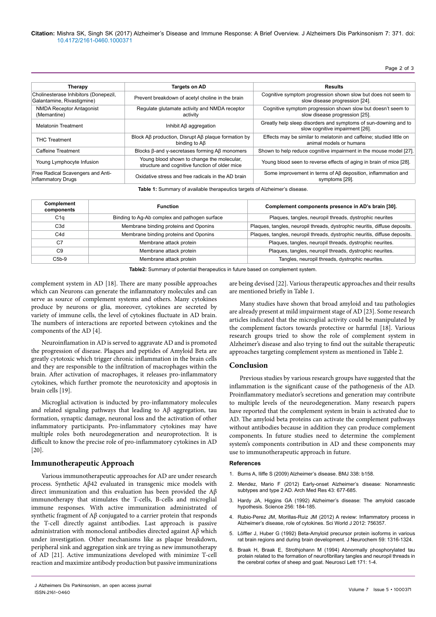Page 2 of 3

| Therapy                                                             | Targets on AD                                                                                | <b>Results</b>                                                                                     |
|---------------------------------------------------------------------|----------------------------------------------------------------------------------------------|----------------------------------------------------------------------------------------------------|
| Cholinesterase Inhibitors (Donepezil,<br>Galantamine, Rivastigmine) | Prevent breakdown of acetyl choline in the brain                                             | Cognitive symptom progression shown slow but does not seem to<br>slow disease progression [24].    |
| <b>NMDA Receptor Antagonist</b><br>(Memantine)                      | Regulate glutamate activity and NMDA receptor<br>activity                                    | Cognitive symptom progression shown slow but doesn't seem to<br>slow disease progression [25].     |
| <b>Melatonin Treatment</b>                                          | Inhibit A <sub>B</sub> aggregation                                                           | Greatly help sleep disorders and symptoms of sun-downing and to<br>slow cognitive impairment [26]. |
| <b>THC Treatment</b>                                                | Block AB production, Disrupt AB plaque formation by<br>binding to A <sub>B</sub>             | Effects may be similar to melatonin and caffeine; studied little on<br>animal models or humans     |
| Caffeine Treatment                                                  | Blocks β-and y-secretases forming Aβ monomers                                                | Shown to help reduce cognitive impairment in the mouse model [27].                                 |
| Young Lymphocyte Infusion                                           | Young blood shown to change the molecular,<br>structure and cognitive function of older mice | Young blood seen to reverse effects of aging in brain of mice [28].                                |
| Free Radical Scavengers and Anti-<br>inflammatory Drugs             | Oxidative stress and free radicals in the AD brain                                           | Some improvement in terms of AB deposition, inflammation and<br>symptoms [29].                     |

**Table 1:** Summary of available therapeutics targets of Alzheimer's disease.

| Complement<br>components | <b>Function</b>                               | Complement components presence in AD's brain [30].                         |
|--------------------------|-----------------------------------------------|----------------------------------------------------------------------------|
| C1q                      | Binding to Ag-Ab complex and pathogen surface | Plaques, tangles, neuropil threads, dystrophic neurites                    |
| C <sub>3</sub> d         | Membrane binding proteins and Oponins         | Plaques, tangles, neuropil threads, dystrophic neuritis, diffuse deposits. |
| C <sub>4</sub> d         | Membrane binding proteins and Oponins         | Plaques, tangles, neuropil threads, dystrophic neuritis, diffuse deposits. |
| C7                       | Membrane attack protein                       | Plaques, tangles, neuropil threads, dystrophic neurites.                   |
| C <sub>9</sub>           | Membrane attack protein                       | Plaques, tangles, neuropil threads, dystrophic neurites.                   |
| $C5b-9$                  | Membrane attack protein                       | Tangles, neuropil threads, dystrophic neurites.                            |

**Table2:** Summary of potential therapeutics in future based on complement system.

complement system in AD [18]. There are many possible approaches which can Neurons can generate the inflammatory molecules and can serve as source of complement systems and others. Many cytokines produce by neurons or glia, moreover, cytokines are secreted by variety of immune cells, the level of cytokines fluctuate in AD brain. The numbers of interactions are reported between cytokines and the components of the AD [4].

Neuroinflamation in AD is served to aggravate AD and is promoted the progression of disease. Plaques and peptides of Amyloid Beta are greatly cytotoxic which trigger chronic inflammation in the brain cells and they are responsible to the infiltration of macrophages within the brain. After activation of macrophages, it releases pro-inflammatory cytokines, which further promote the neurotoxicity and apoptosis in brain cells [19].

Microglial activation is inducted by pro-inflammatory molecules and related signaling pathways that leading to Aβ aggregation, tau formation, synaptic damage, neuronal loss and the activation of other inflammatory participants. Pro-inflammatory cytokines may have multiple roles both neurodegeneration and neuroprotection. It is difficult to know the precise role of pro-inflammatory cytokines in AD [20].

### **Immunotherapeutic Approach**

Various immunotherapeutic approaches for AD are under research process. Synthetic Aβ42 evaluated in transgenic mice models with direct immunization and this evaluation has been provided the Aβ immunotherapy that stimulates the T-cells, B-cells and microglial immune responses. With active immunization administrated of synthetic fragment of Aβ conjugated to a carrier protein that responds the T-cell directly against antibodies. Last approach is passive administration with monoclonal antibodies directed against Aβ which under investigation. Other mechanisms like as plaque breakdown, peripheral sink and aggregation sink are trying as new immunotherapy of AD [21]. Active immunizations developed with minimize T-cell reaction and maximize antibody production but passive immunizations

are being devised [22]. Various therapeutic approaches and their results are mentioned briefly in Table 1.

Many studies have shown that broad amyloid and tau pathologies are already present at mild impairment stage of AD [23]. Some research articles indicated that the microglial activity could be manipulated by the complement factors towards protective or harmful [18]. Various research groups tried to show the role of complement system in Alzheimer's disease and also trying to find out the suitable therapeutic approaches targeting complement system as mentioned in Table 2.

### **Conclusion**

Previous studies by various research groups have suggested that the inflammation is the significant cause of the pathogenesis of the AD. Proinflammatory mediator's secretions and generation may contribute to multiple levels of the neurodegeneration. Many research papers have reported that the complement system in brain is activated due to AD. The amyloid beta proteins can activate the complement pathways without antibodies because in addition they can produce complement components. In future studies need to determine the complement system's components contribution in AD and these components may use to immunotherapeutic approach in future.

## **References**

- 1. [Burns A, Iliffe S \(2009\) Alzheimer's disease. BMJ 338: b158.](http://dx.doi.org/10.1136/bmj.b158)
- 2. [Mendez, Mario F \(2012\) Early-onset Alzheimer's disease: Nonamnestic](http://dx.doi.org/10.1016/j.arcmed.2012.11.009)  [subtypes and type 2 AD. Arch Med Res 43: 677-685.](http://dx.doi.org/10.1016/j.arcmed.2012.11.009)
- 3. [Hardy JA, Higgins GA \(1992\) Alzheimer's disease: The amyloid cascade](http://dx.doi.org/10.1126/science.1566067)  [hypothesis. Science 256: 184-185.](http://dx.doi.org/10.1126/science.1566067)
- 4. [Rubio-Perez JM, Morillas-Ruiz JM \(2012\) A review: Inflammatory process in](http://dx.doi.org/10.1100/2012/756357)  [Alzheimer's disease, role of cytokines. Sci World J 2012: 756357.](http://dx.doi.org/10.1100/2012/756357)
- 5. [Löffler J, Huber G \(1992\) Beta-Amyloid precursor protein isoforms in various](http://dx.doi.org/10.1111/j.1471-4159.1992.tb08443.x)  [rat brain regions and during brain development. J Neurochem 59: 1316-1324.](http://dx.doi.org/10.1111/j.1471-4159.1992.tb08443.x)
- 6. [Braak H, Braak E, Strothjohann M \(1994\) Abnormally phosphorylated tau](http://dx.doi.org/10.1016/0304-3940(94)90589-4)  [protein related to the formation of neurofibrillary tangles and neuropil threads in](http://dx.doi.org/10.1016/0304-3940(94)90589-4)  [the cerebral cortex of sheep and goat. Neurosci Lett 171: 1-4.](http://dx.doi.org/10.1016/0304-3940(94)90589-4)